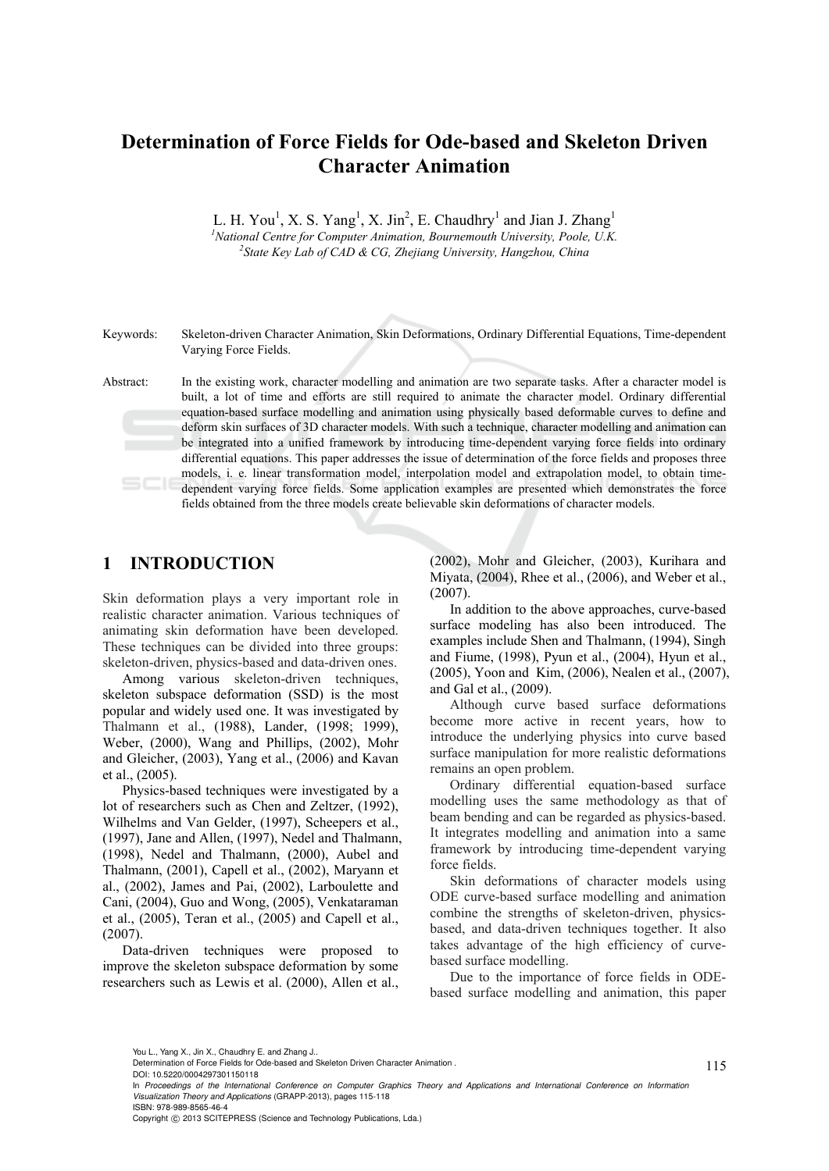# **Determination of Force Fields for Ode-based and Skeleton Driven Character Animation**

L. H. You<sup>1</sup>, X. S. Yang<sup>1</sup>, X. Jin<sup>2</sup>, E. Chaudhry<sup>1</sup> and Jian J. Zhang<sup>1</sup> <sup>1</sup> National Centre for Computer Animation, Bournemouth University, Poole, U.K. *State Key Lab of CAD & CG, Zhejiang University, Hangzhou, China* 

Keywords: Skeleton-driven Character Animation, Skin Deformations, Ordinary Differential Equations, Time-dependent Varying Force Fields.

Abstract: In the existing work, character modelling and animation are two separate tasks. After a character model is built, a lot of time and efforts are still required to animate the character model. Ordinary differential equation-based surface modelling and animation using physically based deformable curves to define and deform skin surfaces of 3D character models. With such a technique, character modelling and animation can be integrated into a unified framework by introducing time-dependent varying force fields into ordinary differential equations. This paper addresses the issue of determination of the force fields and proposes three models, i. e. linear transformation model, interpolation model and extrapolation model, to obtain timedependent varying force fields. Some application examples are presented which demonstrates the force fields obtained from the three models create believable skin deformations of character models.

## **1 INTRODUCTION**

Skin deformation plays a very important role in realistic character animation. Various techniques of animating skin deformation have been developed. These techniques can be divided into three groups: skeleton-driven, physics-based and data-driven ones.

Among various skeleton-driven techniques, skeleton subspace deformation (SSD) is the most popular and widely used one. It was investigated by Thalmann et al., (1988), Lander, (1998; 1999), Weber, (2000), Wang and Phillips, (2002), Mohr and Gleicher, (2003), Yang et al., (2006) and Kavan et al., (2005).

Physics-based techniques were investigated by a lot of researchers such as Chen and Zeltzer, (1992), Wilhelms and Van Gelder, (1997), Scheepers et al., (1997), Jane and Allen, (1997), Nedel and Thalmann, (1998), Nedel and Thalmann, (2000), Aubel and Thalmann, (2001), Capell et al., (2002), Maryann et al., (2002), James and Pai, (2002), Larboulette and Cani, (2004), Guo and Wong, (2005), Venkataraman et al., (2005), Teran et al., (2005) and Capell et al., (2007).

Data-driven techniques were proposed to improve the skeleton subspace deformation by some researchers such as Lewis et al. (2000), Allen et al.,

(2002), Mohr and Gleicher, (2003), Kurihara and Miyata, (2004), Rhee et al., (2006), and Weber et al., (2007).

 In addition to the above approaches, curve-based surface modeling has also been introduced. The examples include Shen and Thalmann, (1994), Singh and Fiume, (1998), Pyun et al., (2004), Hyun et al., (2005), Yoon and Kim, (2006), Nealen et al., (2007), and Gal et al., (2009).

Although curve based surface deformations become more active in recent years, how to introduce the underlying physics into curve based surface manipulation for more realistic deformations remains an open problem.

 Ordinary differential equation-based surface modelling uses the same methodology as that of beam bending and can be regarded as physics-based. It integrates modelling and animation into a same framework by introducing time-dependent varying force fields.

 Skin deformations of character models using ODE curve-based surface modelling and animation combine the strengths of skeleton-driven, physicsbased, and data-driven techniques together. It also takes advantage of the high efficiency of curvebased surface modelling.

 Due to the importance of force fields in ODEbased surface modelling and animation, this paper

Copyright © 2013 SCITEPRESS (Science and Technology Publications, Lda.)

You L., Yang X., Jin X., Chaudhry E. and Zhang J..

Determination of Force Fields for Ode-based and Skeleton Driven Character Animation .

DOI: 10.5220/0004297301150118

In *Proceedings of the International Conference on Computer Graphics Theory and Applications and International Conference on Information Visualization Theory and Applications* (GRAPP-2013), pages 115-118 ISBN: 978-989-8565-46-4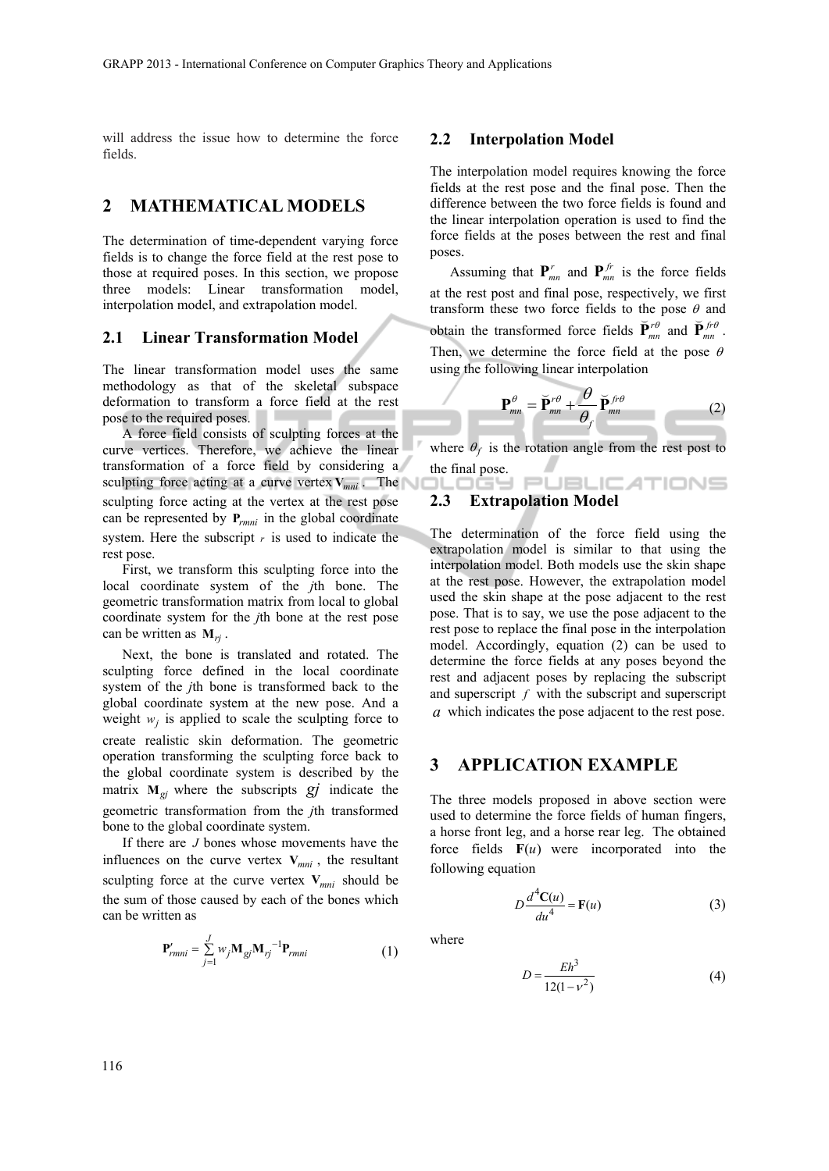will address the issue how to determine the force fields.

### **2 MATHEMATICAL MODELS**

The determination of time-dependent varying force fields is to change the force field at the rest pose to those at required poses. In this section, we propose three models: Linear transformation model, interpolation model, and extrapolation model.

#### **2.1 Linear Transformation Model**

The linear transformation model uses the same methodology as that of the skeletal subspace deformation to transform a force field at the rest pose to the required poses.

A force field consists of sculpting forces at the curve vertices. Therefore, we achieve the linear transformation of a force field by considering a sculpting force acting at a curve vertex  $V_{mni}$ . The sculpting force acting at the vertex at the rest pose can be represented by **P***rmni* in the global coordinate system. Here the subscript *r* is used to indicate the rest pose.

First, we transform this sculpting force into the local coordinate system of the *j*th bone. The geometric transformation matrix from local to global coordinate system for the *j*th bone at the rest pose can be written as **M***rj* .

Next, the bone is translated and rotated. The sculpting force defined in the local coordinate system of the *j*th bone is transformed back to the global coordinate system at the new pose. And a weight  $w_i$  is applied to scale the sculpting force to create realistic skin deformation. The geometric operation transforming the sculpting force back to the global coordinate system is described by the matrix  $M_{gi}$  where the subscripts  $gj$  indicate the geometric transformation from the *j*th transformed bone to the global coordinate system.

If there are *J* bones whose movements have the influences on the curve vertex  $V_{mni}$ , the resultant sculpting force at the curve vertex  $V_{mni}$  should be the sum of those caused by each of the bones which can be written as

$$
\mathbf{P}_{rmi} = \sum_{j=1}^{J} w_j \mathbf{M}_{gj} \mathbf{M}_{rj}^{-1} \mathbf{P}_{rmi}
$$
(1)

#### **2.2 Interpolation Model**

The interpolation model requires knowing the force fields at the rest pose and the final pose. Then the difference between the two force fields is found and the linear interpolation operation is used to find the force fields at the poses between the rest and final poses.

Assuming that  $P_{mn}^r$  and  $P_{mn}^{fr}$  is the force fields at the rest post and final pose, respectively, we first transform these two force fields to the pose  $\theta$  and obtain the transformed force fields  $\vec{P}^{r\theta}_{mn}$  and  $\vec{P}^{f\theta}_{mn}$ . Then, we determine the force field at the pose  $\theta$ using the following linear interpolation

$$
\mathbf{P}_{mn}^{\theta} = \breve{\mathbf{P}}_{mn}^{r\theta} + \frac{\theta}{\theta_f} \breve{\mathbf{P}}_{mn}^{f r\theta}
$$
 (2)

where  $\theta_f$  is the rotation angle from the rest post to the final pose.<br>  $\blacksquare$ 

# **2.3 Extrapolation Model**

The determination of the force field using the extrapolation model is similar to that using the interpolation model. Both models use the skin shape at the rest pose. However, the extrapolation model used the skin shape at the pose adjacent to the rest pose. That is to say, we use the pose adjacent to the rest pose to replace the final pose in the interpolation model. Accordingly, equation (2) can be used to determine the force fields at any poses beyond the rest and adjacent poses by replacing the subscript and superscript *f* with the subscript and superscript *a* which indicates the pose adjacent to the rest pose.

#### **3 APPLICATION EXAMPLE**

The three models proposed in above section were used to determine the force fields of human fingers, a horse front leg, and a horse rear leg. The obtained force fields **F**(*u*) were incorporated into the following equation

$$
D\frac{d^4\mathbf{C}(u)}{du^4} = \mathbf{F}(u)
$$
 (3)

where

$$
D = \frac{Eh^3}{12(1 - v^2)}
$$
 (4)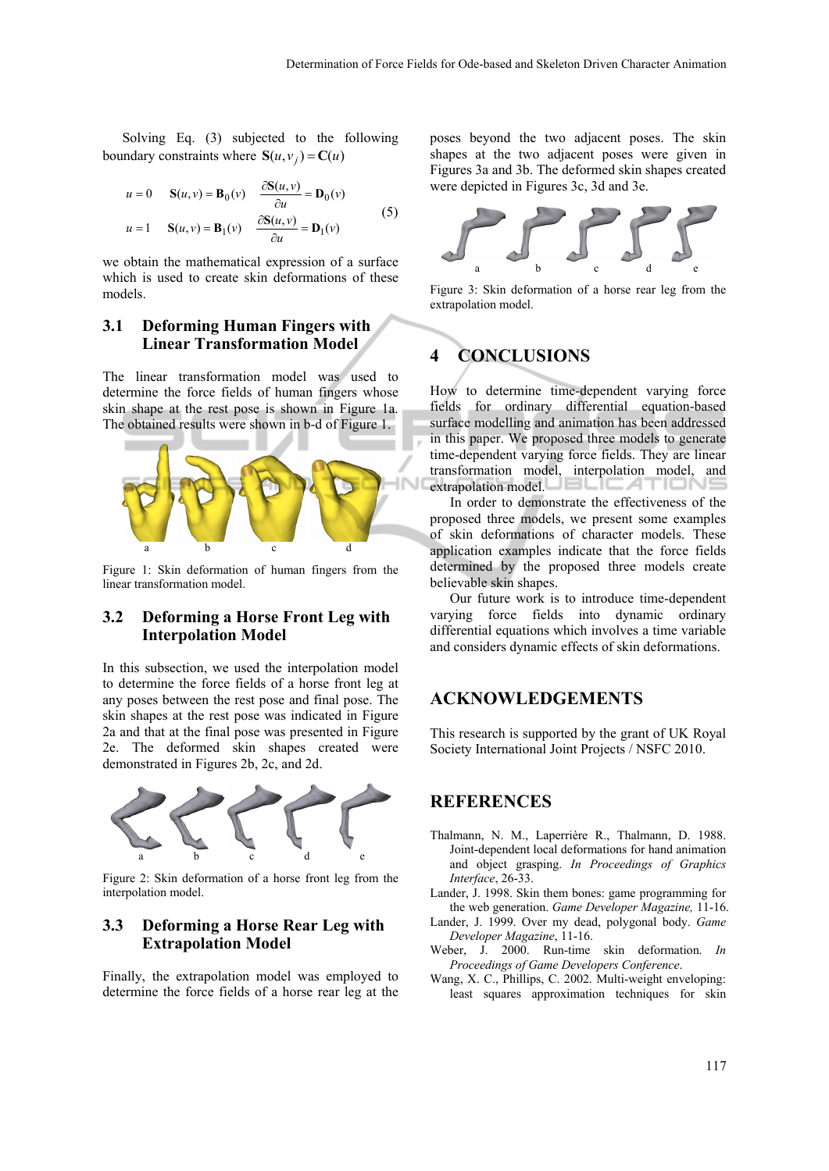Solving Eq. (3) subjected to the following boundary constraints where  $S(u, v_i) = C(u)$ 

$$
u = 0 \t S(u, v) = B_0(v) \t \frac{\partial S(u, v)}{\partial u} = D_0(v)
$$
  

$$
u = 1 \t S(u, v) = B_1(v) \t \frac{\partial S(u, v)}{\partial u} = D_1(v)
$$
 (5)

we obtain the mathematical expression of a surface which is used to create skin deformations of these models.

#### **3.1 Deforming Human Fingers with Linear Transformation Model**

The linear transformation model was used to determine the force fields of human fingers whose skin shape at the rest pose is shown in Figure 1a. The obtained results were shown in b-d of Figure 1.



Figure 1: Skin deformation of human fingers from the linear transformation model.

#### **3.2 Deforming a Horse Front Leg with Interpolation Model**

In this subsection, we used the interpolation model to determine the force fields of a horse front leg at any poses between the rest pose and final pose. The skin shapes at the rest pose was indicated in Figure 2a and that at the final pose was presented in Figure 2e. The deformed skin shapes created were demonstrated in Figures 2b, 2c, and 2d.



Figure 2: Skin deformation of a horse front leg from the interpolation model.

#### **3.3 Deforming a Horse Rear Leg with Extrapolation Model**

Finally, the extrapolation model was employed to determine the force fields of a horse rear leg at the

poses beyond the two adjacent poses. The skin shapes at the two adjacent poses were given in Figures 3a and 3b. The deformed skin shapes created were depicted in Figures 3c, 3d and 3e.



Figure 3: Skin deformation of a horse rear leg from the extrapolation model.

# **4 CONCLUSIONS**

How to determine time-dependent varying force fields for ordinary differential equation-based surface modelling and animation has been addressed in this paper. We proposed three models to generate time-dependent varying force fields. They are linear transformation model, interpolation model, and extrapolation model. **EXTICINE** 

In order to demonstrate the effectiveness of the proposed three models, we present some examples of skin deformations of character models. These application examples indicate that the force fields determined by the proposed three models create believable skin shapes.

Our future work is to introduce time-dependent varying force fields into dynamic ordinary differential equations which involves a time variable and considers dynamic effects of skin deformations.

#### **ACKNOWLEDGEMENTS**

This research is supported by the grant of UK Royal Society International Joint Projects / NSFC 2010.

# **REFERENCES**

- Thalmann, N. M., Laperrière R., Thalmann, D. 1988. Joint-dependent local deformations for hand animation and object grasping. *In Proceedings of Graphics Interface*, 26-33.
- Lander, J. 1998. Skin them bones: game programming for the web generation. *Game Developer Magazine,* 11-16.
- Lander, J. 1999. Over my dead, polygonal body. *Game Developer Magazine*, 11-16.
- Weber, J. 2000. Run-time skin deformation. *In Proceedings of Game Developers Conference*.
- Wang, X. C., Phillips, C. 2002. Multi-weight enveloping: least squares approximation techniques for skin